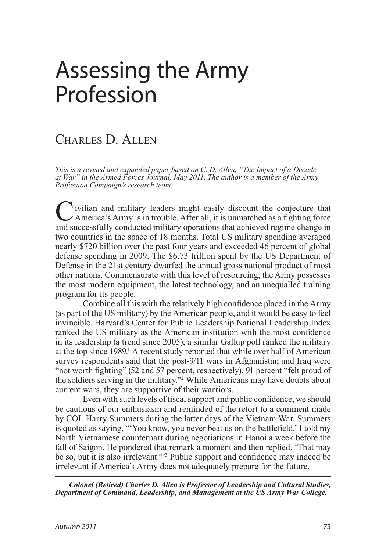# Assessing the Army Profession

# Charles D. Allen

*This is a revised and expanded paper based on C. D. Allen, "The Impact of a Decade at War" in the Armed Forces Journal, May 2011. The author is a member of the Army Profession Campaign's research team.*

I vilian and military leaders might easily discount the conjecture that  $\angle$  America's Army is in trouble. After all, it is unmatched as a fighting force and successfully conducted military operations that achieved regime change in two countries in the space of 18 months. Total US military spending averaged nearly \$720 billion over the past four years and exceeded 46 percent of global defense spending in 2009. The \$6.73 trillion spent by the US Department of Defense in the 21st century dwarfed the annual gross national product of most other nations. Commensurate with this level of resourcing, the Army possesses the most modern equipment, the latest technology, and an unequalled training program for its people.

<span id="page-0-0"></span>Combine all this with the relatively high confidence placed in the Army (as part of the US military) by the American people, and it would be easy to feel invincible. Harvard's Center for Public Leadership National Leadership Index ranked the US military as the American institution with the most confidence in its leadership (a trend since 2005); a similar Gallup poll ranked the military at the top since 1989.<sup>1</sup> A recent study reported that while over half of American survey respondents said that the post-9/11 wars in Afghanistan and Iraq were "not worth fighting" (52 and 57 percent, respectively), 91 percent "felt proud of the soldiers serving in the military."[2](#page-11-1) While Americans may have doubts about current wars, they are supportive of their warriors.

<span id="page-0-1"></span>Even with such levels of fiscal support and public confidence, we should be cautious of our enthusiasm and reminded of the retort to a comment made by COL Harry Summers during the latter days of the Vietnam War. Summers is quoted as saying, "'You know, you never beat us on the battlefield,' I told my North Vietnamese counterpart during negotiations in Hanoi a week before the fall of Saigon. He pondered that remark a moment and then replied, 'That may be so, but it is also irrelevant.'"[3](#page-11-2) Public support and confidence may indeed be irrelevant if America's Army does not adequately prepare for the future.

<span id="page-0-2"></span>*Colonel (Retired) Charles D. Allen is Professor of Leadership and Cultural Studies, Department of Command, Leadership, and Management at the US Army War College.*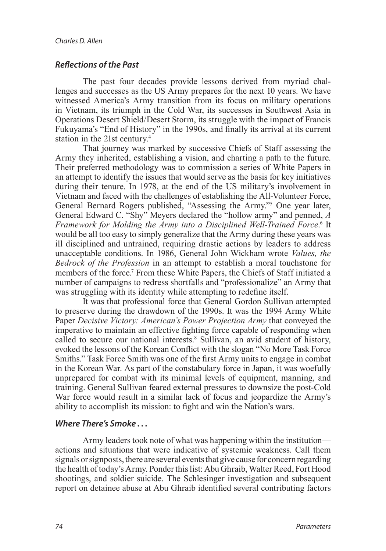#### *Reflections of the Past*

The past four decades provide lessons derived from myriad challenges and successes as the US Army prepares for the next 10 years. We have witnessed America's Army transition from its focus on military operations in Vietnam, its triumph in the Cold War, its successes in Southwest Asia in Operations Desert Shield/Desert Storm, its struggle with the impact of Francis Fukuyama's "End of History" in the 1990s, and finally its arrival at its current station in the 21st century.[4](#page-11-3)

<span id="page-1-2"></span><span id="page-1-1"></span><span id="page-1-0"></span>That journey was marked by successive Chiefs of Staff assessing the Army they inherited, establishing a vision, and charting a path to the future. Their preferred methodology was to commission a series of White Papers in an attempt to identify the issues that would serve as the basis for key initiatives during their tenure. In 1978, at the end of the US military's involvement in Vietnam and faced with the challenges of establishing the All-Volunteer Force, General Bernard Rogers published, "Assessing the Army."[5](#page-11-4) One year later, General Edward C. "Shy" Meyers declared the "hollow army" and penned, *A*  Framework for Molding the Army into a Disciplined Well-Trained Force.<sup>[6](#page-11-5)</sup> It would be all too easy to simply generalize that the Army during these years was ill disciplined and untrained, requiring drastic actions by leaders to address unacceptable conditions. In 1986, General John Wickham wrote *Values, the Bedrock of the Profession* in an attempt to establish a moral touchstone for members of the force.<sup>7</sup> From these White Papers, the Chiefs of Staff initiated a number of campaigns to redress shortfalls and "professionalize" an Army that was struggling with its identity while attempting to redefine itself.

<span id="page-1-4"></span><span id="page-1-3"></span>It was that professional force that General Gordon Sullivan attempted to preserve during the drawdown of the 1990s. It was the 1994 Army White Paper *Decisive Victory: American's Power Projection Army* that conveyed the imperative to maintain an effective fighting force capable of responding when called to secure our national interests.[8](#page-11-6) Sullivan, an avid student of history, evoked the lessons of the Korean Conflict with the slogan "No More Task Force Smiths." Task Force Smith was one of the first Army units to engage in combat in the Korean War. As part of the constabulary force in Japan, it was woefully unprepared for combat with its minimal levels of equipment, manning, and training. General Sullivan feared external pressures to downsize the post-Cold War force would result in a similar lack of focus and jeopardize the Army's ability to accomplish its mission: to fight and win the Nation's wars.

#### *Where There's Smoke . . .*

Army leaders took note of what was happening within the institution actions and situations that were indicative of systemic weakness. Call them signals or signposts, there are several events that give cause for concern regarding the health of today's Army. Ponder this list: Abu Ghraib, Walter Reed, Fort Hood shootings, and soldier suicide. The Schlesinger investigation and subsequent report on detainee abuse at Abu Ghraib identified several contributing factors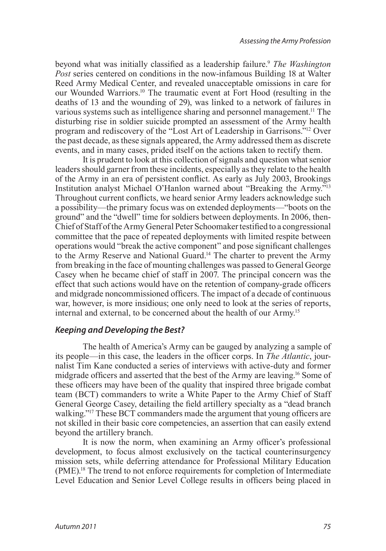<span id="page-2-2"></span><span id="page-2-1"></span><span id="page-2-0"></span>beyond what was initially classified as a leadership failure.[9](#page-11-7) *The Washington Post* series centered on conditions in the now-infamous Building 18 at Walter Reed Army Medical Center, and revealed unacceptable omissions in care for our Wounded Warriors[.10](#page-11-8) The traumatic event at Fort Hood (resulting in the deaths of 13 and the wounding of 29), was linked to a network of failures in various systems such as intelligence sharing and personnel management.<sup>11</sup> The disturbing rise in soldier suicide prompted an assessment of the Army health program and rediscovery of the "Lost Art of Leadership in Garrisons."[12](#page-12-0) Over the past decade, as these signals appeared, the Army addressed them as discrete events, and in many cases, prided itself on the actions taken to rectify them.

<span id="page-2-4"></span><span id="page-2-3"></span>It is prudent to look at this collection of signals and question what senior leaders should garner from these incidents, especially as they relate to the health of the Army in an era of persistent conflict. As early as July 2003, Brookings Institution analyst Michael O'Hanlon warned about "Breaking the Army."[13](#page-12-1) Throughout current conflicts, we heard senior Army leaders acknowledge such a possibility—the primary focus was on extended deployments—"boots on the ground" and the "dwell" time for soldiers between deployments. In 2006, then-Chief of Staff of the Army General Peter Schoomaker testified to a congressional committee that the pace of repeated deployments with limited respite between operations would "break the active component" and pose significant challenges to the Army Reserve and National Guard[.14](#page-12-2) The charter to prevent the Army from breaking in the face of mounting challenges was passed to General George Casey when he became chief of staff in 2007. The principal concern was the effect that such actions would have on the retention of company-grade officers and midgrade noncommissioned officers. The impact of a decade of continuous war, however, is more insidious; one only need to look at the series of reports, internal and external, to be concerned about the health of our Army[.15](#page-12-3)

# <span id="page-2-6"></span><span id="page-2-5"></span>*Keeping and Developing the Best?*

<span id="page-2-7"></span>The health of America's Army can be gauged by analyzing a sample of its people—in this case, the leaders in the officer corps. In *The Atlantic*, journalist Tim Kane conducted a series of interviews with active-duty and former midgrade officers and asserted that the best of the Army are leaving.[16](#page-12-4) Some of these officers may have been of the quality that inspired three brigade combat team (BCT) commanders to write a White Paper to the Army Chief of Staff General George Casey, detailing the field artillery specialty as a "dead branch walking."<sup>[17](#page-12-5)</sup> These BCT commanders made the argument that young officers are not skilled in their basic core competencies, an assertion that can easily extend beyond the artillery branch.

<span id="page-2-9"></span><span id="page-2-8"></span>It is now the norm, when examining an Army officer's professional development, to focus almost exclusively on the tactical counterinsurgency mission sets, while deferring attendance for Professional Military Education (PME).[18](#page-12-6) The trend to not enforce requirements for completion of Intermediate Level Education and Senior Level College results in officers being placed in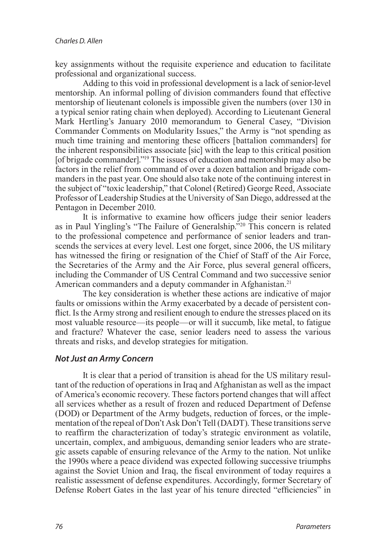key assignments without the requisite experience and education to facilitate professional and organizational success.

Adding to this void in professional development is a lack of senior-level mentorship. An informal polling of division commanders found that effective mentorship of lieutenant colonels is impossible given the numbers (over 130 in a typical senior rating chain when deployed). According to Lieutenant General Mark Hertling's January 2010 memorandum to General Casey, "Division Commander Comments on Modularity Issues," the Army is "not spending as much time training and mentoring these officers [battalion commanders] for the inherent responsibilities associate [sic] with the leap to this critical position [of brigade commander]."<sup>19</sup> The issues of education and mentorship may also be factors in the relief from command of over a dozen battalion and brigade commanders in the past year. One should also take note of the continuing interest in the subject of "toxic leadership," that Colonel (Retired) George Reed, Associate Professor of Leadership Studies at the University of San Diego, addressed at the Pentagon in December 2010.

<span id="page-3-1"></span><span id="page-3-0"></span>It is informative to examine how officers judge their senior leaders as in Paul Yingling's "The Failure of Generalship."<sup>[20](#page-12-8)</sup> This concern is related to the professional competence and performance of senior leaders and transcends the services at every level. Lest one forget, since 2006, the US military has witnessed the firing or resignation of the Chief of Staff of the Air Force, the Secretaries of the Army and the Air Force, plus several general officers, including the Commander of US Central Command and two successive senior American commanders and a deputy commander in Afghanistan.<sup>21</sup>

<span id="page-3-2"></span>The key consideration is whether these actions are indicative of major faults or omissions within the Army exacerbated by a decade of persistent conflict. Is the Army strong and resilient enough to endure the stresses placed on its most valuable resource—its people—or will it succumb, like metal, to fatigue and fracture? Whatever the case, senior leaders need to assess the various threats and risks, and develop strategies for mitigation.

# *Not Just an Army Concern*

It is clear that a period of transition is ahead for the US military resultant of the reduction of operations in Iraq and Afghanistan as well as the impact of America's economic recovery. These factors portend changes that will affect all services whether as a result of frozen and reduced Department of Defense (DOD) or Department of the Army budgets, reduction of forces, or the implementation of the repeal of Don't Ask Don't Tell (DADT). These transitions serve to reaffirm the characterization of today's strategic environment as volatile, uncertain, complex, and ambiguous, demanding senior leaders who are strategic assets capable of ensuring relevance of the Army to the nation. Not unlike the 1990s where a peace dividend was expected following successive triumphs against the Soviet Union and Iraq, the fiscal environment of today requires a realistic assessment of defense expenditures. Accordingly, former Secretary of Defense Robert Gates in the last year of his tenure directed "efficiencies" in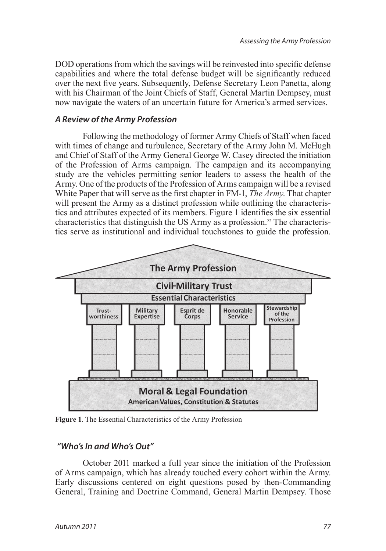DOD operations from which the savings will be reinvested into specific defense capabilities and where the total defense budget will be significantly reduced over the next five years. Subsequently, Defense Secretary Leon Panetta, along with his Chairman of the Joint Chiefs of Staff, General Martin Dempsey, must now navigate the waters of an uncertain future for America's armed services.

#### *A Review of the Army Profession*

Following the methodology of former Army Chiefs of Staff when faced with times of change and turbulence, Secretary of the Army John M. McHugh and Chief of Staff of the Army General George W. Casey directed the initiation of the Profession of Arms campaign. The campaign and its accompanying study are the vehicles permitting senior leaders to assess the health of the Army. One of the products of the Profession of Arms campaign will be a revised White Paper that will serve as the first chapter in FM-1, *The Army*. That chapter will present the Army as a distinct profession while outlining the characteristics and attributes expected of its members. Figure 1 identifies the six essential characteristics that distinguish the US Army as a profession.[22](#page-12-10) The characteristics serve as institutional and individual touchstones to guide the profession.

<span id="page-4-0"></span>

**Figure 1**. The Essential Characteristics of the Army Profession

# *"Who's In and Who's Out"*

October 2011 marked a full year since the initiation of the Profession of Arms campaign, which has already touched every cohort within the Army. Early discussions centered on eight questions posed by then-Commanding General, Training and Doctrine Command, General Martin Dempsey. Those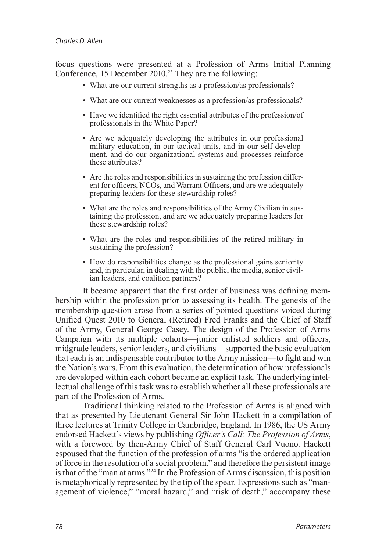<span id="page-5-0"></span>focus questions were presented at a Profession of Arms Initial Planning Conference, 15 December 2010.<sup>23</sup> They are the following:

- What are our current strengths as a profession/as professionals?
- What are our current weaknesses as a profession/as professionals?
- Have we identified the right essential attributes of the profession/of professionals in the White Paper?
- Are we adequately developing the attributes in our professional ment, and do our organizational systems and processes reinforce these attributes?
- Are the roles and responsibilities in sustaining the profession different for officers, NCOs, and Warrant Officers, and are we adequately preparing leaders for these stewardship roles?
- What are the roles and responsibilities of the Army Civilian in sustaining the profession, and are we adequately preparing leaders for these stewardship roles?
- What are the roles and responsibilities of the retired military in sustaining the profession?
- How do responsibilities change as the professional gains seniority and, in particular, in dealing with the public, the media, senior civil- ian leaders, and coalition partners?

It became apparent that the first order of business was defining membership within the profession prior to assessing its health. The genesis of the membership question arose from a series of pointed questions voiced during Unified Quest 2010 to General (Retired) Fred Franks and the Chief of Staff of the Army, General George Casey. The design of the Profession of Arms Campaign with its multiple cohorts—junior enlisted soldiers and officers, midgrade leaders, senior leaders, and civilians—supported the basic evaluation that each is an indispensable contributor to the Army mission—to fight and win the Nation's wars. From this evaluation, the determination of how professionals are developed within each cohort became an explicit task. The underlying intellectual challenge of this task was to establish whether all these professionals are part of the Profession of Arms.

<span id="page-5-1"></span>Traditional thinking related to the Profession of Arms is aligned with that as presented by Lieutenant General Sir John Hackett in a compilation of three lectures at Trinity College in Cambridge, England. In 1986, the US Army endorsed Hackett's views by publishing *Officer's Call: The Profession of Arms*, with a foreword by then-Army Chief of Staff General Carl Vuono. Hackett espoused that the function of the profession of arms "is the ordered application of force in the resolution of a social problem," and therefore the persistent image is that of the "man at arms."[24](#page-12-12) In the Profession of Arms discussion, this position is metaphorically represented by the tip of the spear. Expressions such as "management of violence," "moral hazard," and "risk of death," accompany these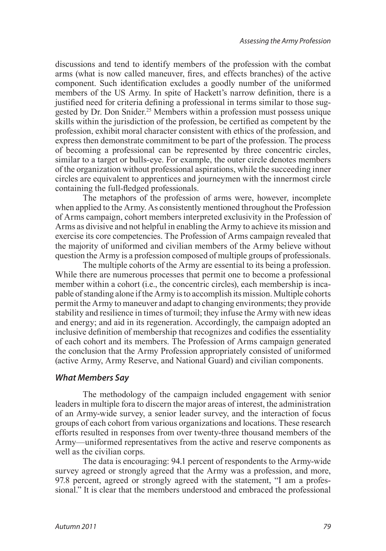<span id="page-6-0"></span>discussions and tend to identify members of the profession with the combat arms (what is now called maneuver, fires, and effects branches) of the active component. Such identification excludes a goodly number of the uniformed members of the US Army. In spite of Hackett's narrow definition, there is a justified need for criteria defining a professional in terms similar to those suggested by Dr. Don Snider[.25](#page-12-13) Members within a profession must possess unique skills within the jurisdiction of the profession, be certified as competent by the profession, exhibit moral character consistent with ethics of the profession, and express then demonstrate commitment to be part of the profession. The process of becoming a professional can be represented by three concentric circles, similar to a target or bulls-eye. For example, the outer circle denotes members of the organization without professional aspirations, while the succeeding inner circles are equivalent to apprentices and journeymen with the innermost circle containing the full-fledged professionals.

The metaphors of the profession of arms were, however, incomplete when applied to the Army. As consistently mentioned throughout the Profession of Arms campaign, cohort members interpreted exclusivity in the Profession of Arms as divisive and not helpful in enabling the Army to achieve its mission and exercise its core competencies. The Profession of Arms campaign revealed that the majority of uniformed and civilian members of the Army believe without question the Army is a profession composed of multiple groups of professionals.

The multiple cohorts of the Army are essential to its being a profession. While there are numerous processes that permit one to become a professional member within a cohort (i.e., the concentric circles), each membership is incapable of standing alone if the Army is to accomplish its mission. Multiple cohorts permit the Army to maneuver and adapt to changing environments; they provide stability and resilience in times of turmoil; they infuse the Army with new ideas and energy; and aid in its regeneration. Accordingly, the campaign adopted an inclusive definition of membership that recognizes and codifies the essentiality of each cohort and its members. The Profession of Arms campaign generated the conclusion that the Army Profession appropriately consisted of uniformed (active Army, Army Reserve, and National Guard) and civilian components.

#### *What Members Say*

The methodology of the campaign included engagement with senior leaders in multiple fora to discern the major areas of interest, the administration of an Army-wide survey, a senior leader survey, and the interaction of focus groups of each cohort from various organizations and locations. These research efforts resulted in responses from over twenty-three thousand members of the Army—uniformed representatives from the active and reserve components as well as the civilian corps.

The data is encouraging: 94.1 percent of respondents to the Army-wide survey agreed or strongly agreed that the Army was a profession, and more, 97.8 percent, agreed or strongly agreed with the statement, "I am a professional." It is clear that the members understood and embraced the professional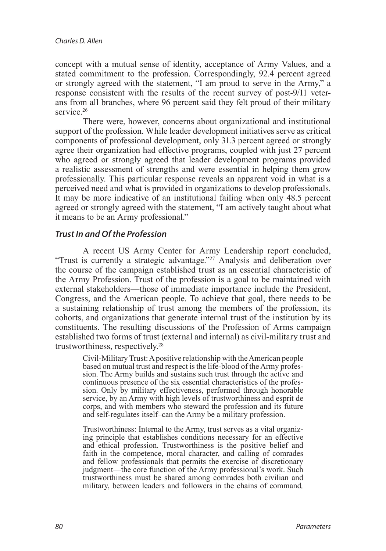concept with a mutual sense of identity, acceptance of Army Values, and a stated commitment to the profession. Correspondingly, 92.4 percent agreed or strongly agreed with the statement, "I am proud to serve in the Army," a response consistent with the results of the recent survey of post-9/11 veterans from all branches, where 96 percent said they felt proud of their military service<sup>[26](#page-12-14)</sup>

<span id="page-7-0"></span>There were, however, concerns about organizational and institutional support of the profession. While leader development initiatives serve as critical components of professional development, only 31.3 percent agreed or strongly agree their organization had effective programs, coupled with just 27 percent who agreed or strongly agreed that leader development programs provided a realistic assessment of strengths and were essential in helping them grow professionally. This particular response reveals an apparent void in what is a perceived need and what is provided in organizations to develop professionals. It may be more indicative of an institutional failing when only 48.5 percent agreed or strongly agreed with the statement, "I am actively taught about what it means to be an Army professional."

#### *Trust In and Of the Profession*

<span id="page-7-1"></span>A recent US Army Center for Army Leadership report concluded, "Trust is currently a strategic advantage."<sup>27</sup> Analysis and deliberation over the course of the campaign established trust as an essential characteristic of the Army Profession. Trust of the profession is a goal to be maintained with external stakeholders—those of immediate importance include the President, Congress, and the American people. To achieve that goal, there needs to be a sustaining relationship of trust among the members of the profession, its cohorts, and organizations that generate internal trust of the institution by its constituents. The resulting discussions of the Profession of Arms campaign established two forms of trust (external and internal) as civil-military trust and trustworthiness, respectively.[28](#page-12-16)

Civil-Military Trust: A positive relationship with the American people sion. The Army builds and sustains such trust through the active and continuous presence of the six essential characteristics of the profession. Only by military effectiveness, performed through honorable service, by an Army with high levels of trustworthiness and esprit de corps, and with members who steward the profession and its future and self-regulates itself–can the Army be a military profession.

Trustworthiness: Internal to the Army, trust serves as a vital organizing principle that establishes conditions necessary for an effective and ethical profession. Trustworthiness is the positive belief and faith in the competence, moral character, and calling of comrades and fellow professionals that permits the exercise of discretionary judgment—the core function of the Army professional's work. Such trustworthiness must be shared among comrades both civilian and military, between leaders and followers in the chains of command*,*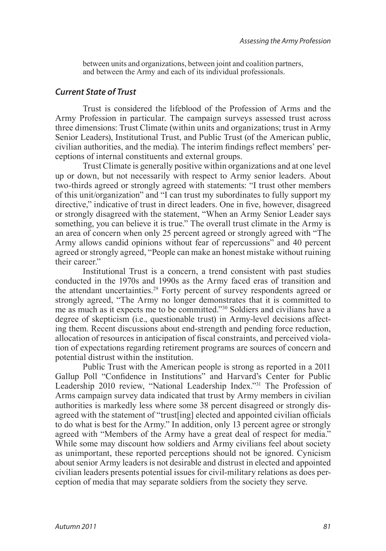between units and organizations, between joint and coalition partners, and between the Army and each of its individual professionals.

#### *Current State of Trust*

Trust is considered the lifeblood of the Profession of Arms and the Army Profession in particular. The campaign surveys assessed trust across three dimensions: Trust Climate (within units and organizations; trust in Army Senior Leaders), Institutional Trust, and Public Trust (of the American public, civilian authorities, and the media). The interim findings reflect members' perceptions of internal constituents and external groups.

Trust Climate is generally positive within organizations and at one level up or down, but not necessarily with respect to Army senior leaders. About two-thirds agreed or strongly agreed with statements: "I trust other members of this unit/organization" and "I can trust my subordinates to fully support my directive," indicative of trust in direct leaders. One in five, however, disagreed or strongly disagreed with the statement, "When an Army Senior Leader says something, you can believe it is true." The overall trust climate in the Army is an area of concern when only 25 percent agreed or strongly agreed with "The Army allows candid opinions without fear of repercussions" and 40 percent agreed or strongly agreed, "People can make an honest mistake without ruining their career"

<span id="page-8-1"></span><span id="page-8-0"></span>Institutional Trust is a concern, a trend consistent with past studies conducted in the 1970s and 1990s as the Army faced eras of transition and the attendant uncertainties[.29](#page-12-17) Forty percent of survey respondents agreed or strongly agreed, "The Army no longer demonstrates that it is committed to me as much as it expects me to be committed."[30](#page-12-18) Soldiers and civilians have a degree of skepticism (i.e., questionable trust) in Army-level decisions affecting them. Recent discussions about end-strength and pending force reduction, allocation of resources in anticipation of fiscal constraints, and perceived violation of expectations regarding retirement programs are sources of concern and potential distrust within the institution.

<span id="page-8-2"></span>Public Trust with the American people is strong as reported in a 2011 Gallup Poll "Confidence in Institutions" and Harvard's Center for Public Leadership 2010 review, "National Leadership Index."[31](#page-12-19) The Profession of Arms campaign survey data indicated that trust by Army members in civilian authorities is markedly less where some 38 percent disagreed or strongly disagreed with the statement of "trust[ing] elected and appointed civilian officials to do what is best for the Army." In addition, only 13 percent agree or strongly agreed with "Members of the Army have a great deal of respect for media." While some may discount how soldiers and Army civilians feel about society as unimportant, these reported perceptions should not be ignored. Cynicism about senior Army leaders is not desirable and distrust in elected and appointed civilian leaders presents potential issues for civil-military relations as does perception of media that may separate soldiers from the society they serve.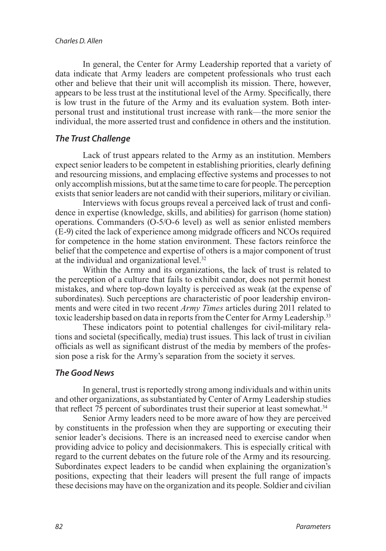In general, the Center for Army Leadership reported that a variety of data indicate that Army leaders are competent professionals who trust each other and believe that their unit will accomplish its mission. There, however, appears to be less trust at the institutional level of the Army. Specifically, there is low trust in the future of the Army and its evaluation system. Both interpersonal trust and institutional trust increase with rank—the more senior the individual, the more asserted trust and confidence in others and the institution.

# *The Trust Challenge*

Lack of trust appears related to the Army as an institution. Members expect senior leaders to be competent in establishing priorities, clearly defining and resourcing missions, and emplacing effective systems and processes to not only accomplish missions, but at the same time to care for people. The perception exists that senior leaders are not candid with their superiors, military or civilian.

Interviews with focus groups reveal a perceived lack of trust and confidence in expertise (knowledge, skills, and abilities) for garrison (home station) operations. Commanders (O-5/O-6 level) as well as senior enlisted members (E-9) cited the lack of experience among midgrade officers and NCOs required for competence in the home station environment. These factors reinforce the belief that the competence and expertise of others is a major component of trust at the individual and organizational level.[32](#page-12-20)

<span id="page-9-0"></span>Within the Army and its organizations, the lack of trust is related to the perception of a culture that fails to exhibit candor, does not permit honest mistakes, and where top-down loyalty is perceived as weak (at the expense of subordinates). Such perceptions are characteristic of poor leadership environments and were cited in two recent *Army Times* articles during 2011 related to toxic leadership based on data in reports from the Center for Army Leadership.<sup>33</sup>

<span id="page-9-1"></span>These indicators point to potential challenges for civil-military relations and societal (specifically, media) trust issues. This lack of trust in civilian officials as well as significant distrust of the media by members of the profession pose a risk for the Army's separation from the society it serves.

# *The Good News*

In general, trust is reportedly strong among individuals and within units and other organizations, as substantiated by Center of Army Leadership studies that reflect 75 percent of subordinates trust their superior at least somewhat.<sup>[34](#page-13-0)</sup>

<span id="page-9-2"></span>Senior Army leaders need to be more aware of how they are perceived by constituents in the profession when they are supporting or executing their senior leader's decisions. There is an increased need to exercise candor when providing advice to policy and decisionmakers. This is especially critical with regard to the current debates on the future role of the Army and its resourcing. Subordinates expect leaders to be candid when explaining the organization's positions, expecting that their leaders will present the full range of impacts these decisions may have on the organization and its people. Soldier and civilian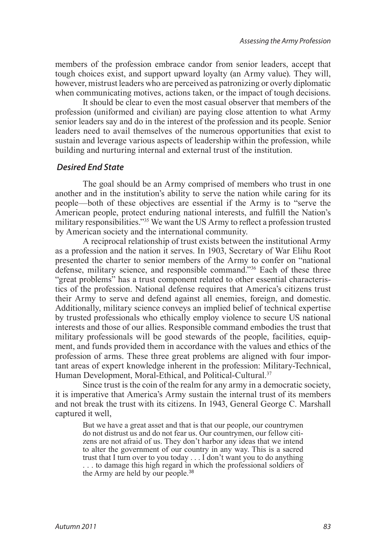members of the profession embrace candor from senior leaders, accept that tough choices exist, and support upward loyalty (an Army value). They will, however, mistrust leaders who are perceived as patronizing or overly diplomatic when communicating motives, actions taken, or the impact of tough decisions.

It should be clear to even the most casual observer that members of the profession (uniformed and civilian) are paying close attention to what Army senior leaders say and do in the interest of the profession and its people. Senior leaders need to avail themselves of the numerous opportunities that exist to sustain and leverage various aspects of leadership within the profession, while building and nurturing internal and external trust of the institution.

#### *Desired End State*

The goal should be an Army comprised of members who trust in one another and in the institution's ability to serve the nation while caring for its people—both of these objectives are essential if the Army is to "serve the American people, protect enduring national interests, and fulfill the Nation's military responsibilities."[35](#page-13-1) We want the US Army to reflect a profession trusted by American society and the international community.

<span id="page-10-1"></span><span id="page-10-0"></span>A reciprocal relationship of trust exists between the institutional Army as a profession and the nation it serves. In 1903, Secretary of War Elihu Root presented the charter to senior members of the Army to confer on "national defense, military science, and responsible command."[36](#page-13-2) Each of these three "great problems" has a trust component related to other essential characteristics of the profession. National defense requires that America's citizens trust their Army to serve and defend against all enemies, foreign, and domestic. Additionally, military science conveys an implied belief of technical expertise by trusted professionals who ethically employ violence to secure US national interests and those of our allies. Responsible command embodies the trust that military professionals will be good stewards of the people, facilities, equipment, and funds provided them in accordance with the values and ethics of the profession of arms. These three great problems are aligned with four important areas of expert knowledge inherent in the profession: Military-Technical, Human Development, Moral-Ethical, and Political-Cultural.<sup>[37](#page-13-3)</sup>

<span id="page-10-2"></span>Since trust is the coin of the realm for any army in a democratic society, it is imperative that America's Army sustain the internal trust of its members and not break the trust with its citizens. In 1943, General George C. Marshall captured it well,

<span id="page-10-3"></span>But we have a great asset and that is that our people, our countrymen do not distrust us and do not fear us. Our countrymen, our fellow citizens are not afraid of us. They don't harbor any ideas that we intend to alter the government of our country in any way. This is a sacred trust that I turn over to you today . . . I don't want you to do anything . . . to damage this high regard in which the professional soldiers of the Army are held by our people.[38](#page-13-4)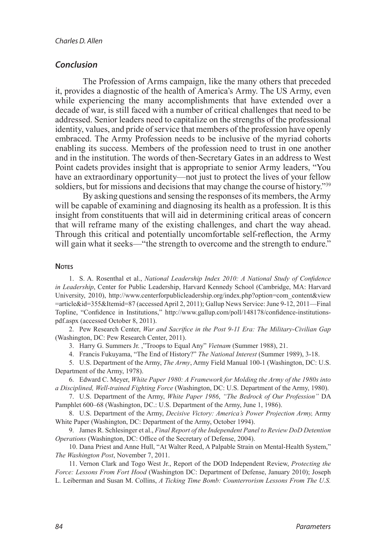#### *Conclusion*

The Profession of Arms campaign, like the many others that preceded it, provides a diagnostic of the health of America's Army. The US Army, even while experiencing the many accomplishments that have extended over a decade of war, is still faced with a number of critical challenges that need to be addressed. Senior leaders need to capitalize on the strengths of the professional identity, values, and pride of service that members of the profession have openly embraced. The Army Profession needs to be inclusive of the myriad cohorts enabling its success. Members of the profession need to trust in one another and in the institution. The words of then-Secretary Gates in an address to West Point cadets provides insight that is appropriate to senior Army leaders, "You have an extraordinary opportunity—not just to protect the lives of your fellow soldiers, but for missions and decisions that may change the course of history."[39](#page-13-5)

<span id="page-11-9"></span>By asking questions and sensing the responses of its members, the Army will be capable of examining and diagnosing its health as a profession. It is this insight from constituents that will aid in determining critical areas of concern that will reframe many of the existing challenges, and chart the way ahead. Through this critical and potentially uncomfortable self-reflection, the Army will gain what it seeks—"the strength to overcome and the strength to endure."

#### **NOTES**

<span id="page-11-0"></span>1. S. A. Rosenthal et al., *[National Leadership Index 2010: A National Study of Confidence](#page-0-0) in Leadership*[, Center for Public Leadership, Harvard Kennedy School \(Cambridge, MA: Harvard](#page-0-0)  [University, 2010\), http://www.centerforpublicleadership.org/index.php?option=com\\_content&view](#page-0-0) [=article&id=355&Itemid=87 \(accessed April 2, 2011\); Gallup News Service: June 9-12, 2011—Final](#page-0-0) [Topline, "Confidence in Institutions," http://www.gallup.com/poll/148178/confidence-institutions](#page-0-0)[pdf.aspx \(accessed October 8, 2011\).](#page-0-0)

2. Pew Research Center, *[War and Sacrifice in the Post 9-11 Era:](#page-0-1) The Military-Civilian Gap*  [\(Washington, DC: Pew Research Center, 2011\).](#page-0-1)

<span id="page-11-3"></span><span id="page-11-2"></span><span id="page-11-1"></span>3. [Harry G. Summers Jr. ,"Troops to Equal Any"](#page-0-2) *Vietnam* (Summer 1988), 21.

<span id="page-11-5"></span><span id="page-11-4"></span>4. [Francis Fukuyama, "The End of History?"](#page-1-0) *The National Interest* (Summer 1989), 3-18.

5. U.S. Department of the Army, *The Army*[, Army Field Manual 100-1 \(Washington, DC: U.S.](#page-1-1)  [Department of the Army, 1978\).](#page-1-1) 

6. Edward C. Meyer, *[White Paper 1980: A Framework for Molding the Army of the 1980s into](#page-1-2) a Disciplined, Well-trained Fighting Force* [\(Washington, DC: U.S. Department of the Army, 1980\).](#page-1-2)

7. U.S. Department of the Army, *White Paper 1986*, *["The Bedrock of Our Profession"](#page-1-3)* DA [Pamphlet 600–68 \(Washington, DC.: U.S. Department of the Army, June 1, 1986\).](#page-1-3)

<span id="page-11-6"></span>8. U.S. Department of the Army, *[Decisive Victory: America's Power Projection Army,](#page-1-4)* Army White Paper [\(Washington, DC: Department of the Army, October 1994\).](#page-1-4)

<span id="page-11-7"></span>9. James R. Schlesinger et al., *[Final Report of the Independent Panel to Review DoD Detention](#page-2-0) Operations* [\(Washington, DC: Office of the Secretary of Defense, 2004\).](#page-2-0)

<span id="page-11-8"></span>10. [Dana Priest and Anne Hull, "At Walter Reed, A Palpable Strain on Mental-Health System,"](#page-2-1)  *[The Washington Post](#page-2-1)*, November 7, 2011.

11. Vernon Clark and Togo West Jr., [Report of the DOD Independent Review,](#page-2-2) *Protecting the Force: Lessons From Fort Hood* [\(Washington DC: Department of Defense, January 2010\); Joseph](#page-2-2)  L. Leiberman and Susan M. Collins, *[A Ticking Time Bomb: Counterrorism Lessons From The U.S.](#page-2-2)*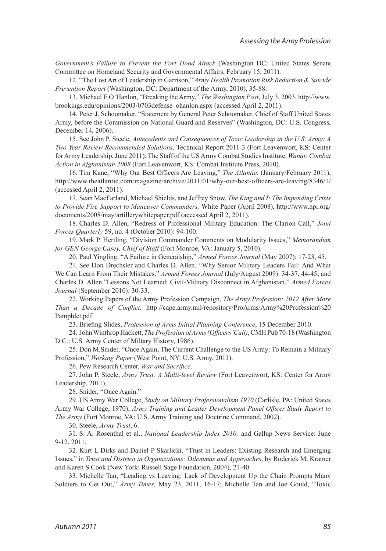*[Government's Failure to Prevent the Fort Hood Attack](#page-2-2)* (Washington DC: United States Senate [Committee on Homeland Security and Governmental Affairs, February 15, 2011\).](#page-2-2)

<span id="page-12-0"></span>12. "The Lost Art of Leadership in Garrison," *[Army Health Promotion Risk Reduction & Suicide](#page-2-3) Prevention Report* [\(Washington, DC: Department of the Army, 2010\), 35-88.](#page-2-3)

<span id="page-12-1"></span>13. [Michael E O'Hanlon, "Breaking the Army,"](#page-2-4) *The Washington Post*, July 3, 2003, http://www. [brookings.edu/opinions/2003/0703defense\\_ohanlon.aspx \(accessed April 2, 2011\).](#page-2-4)

<span id="page-12-2"></span>14. [Peter J. Schoomaker, "Statement by General Peter Schoomaker, Chief of Staff United States](#page-2-5) [Army, before the Commission on National Guard and Reserves" \(Washington, DC: U.S. Congress,](#page-2-5) [December 14, 2006\).](#page-2-5)

<span id="page-12-3"></span>15. See John P. Steele, *[Antecedents and Consequences of Toxic Leadership in the U.S. Army: A](#page-2-6) Two Year Review Recommended Solutions,* [Technical Report 2011-3 \(Fort Leavenwort, KS: Center](#page-2-6) [for Army Leadership, June 2011\); The Staff of the US Army Combat Studies Institute,](#page-2-6) *Wanat: Combat Action in Afghanistan 2008* [\(Fort Leavenwort, KS: Combat Institute Press, 2010\).](#page-2-6)

<span id="page-12-4"></span>16. [Tim Kane, "Why Our Best Officers Are Leaving,"](#page-2-7) *The Atlantic,* (January/February 2011), [http://www.theatlantic.com/magazine/archive/2011/01/why-our-best-officers-are-leaving/8346/1/](#page-2-7)  [\(accessed April 2, 2011\).](#page-2-7)

<span id="page-12-5"></span>17. [Sean MacFarland, Michael Shields, and Jeffrey Snow,](#page-2-8) *The King and I: The Impending Crisis [to Provide Fire Support to Maneuver Commanders,](#page-2-8)* White Paper (April 2008), http://www.npr.org/ [documents/2008/may/artillerywhitepaper.pdf \(accessed April 2, 2011\).](#page-2-8)

<span id="page-12-6"></span>18. [Charles D. Allen, "Redress of Professional Military Education: The Clarion Call,"](#page-2-9) *Joint Forces Quarterly* [59, no. 4 \(October 2010\): 94-100.](#page-2-9)

19. [Mark P. Hertling, "Division Commander Comments on Modularity Issues,"](#page-3-0) *Memorandum [for GEN George Casey, Chief of Staff](#page-3-0)* (Fort Monroe, VA: January 5, 2010).

<span id="page-12-9"></span><span id="page-12-8"></span><span id="page-12-7"></span>20. [Paul Yingling, "A Failure in Generalship,"](#page-3-1) *Armed Forces Journal* (May 2007): 17-23, 45.

21. [See Don Drechsler and Charles D. Allen. "Why Senior Military Leaders Fail: And What](#page-3-2) We Can Learn From Their Mistakes," *Armed Forces Journal* [\(July/August 2009\): 34-37, 44-45; and](#page-3-2) [Charles D. Allen,"Lessons Not Learned: Civil-Military Disconnect in Afghanistan."](#page-3-2) *Armed Forces Journal* [\(September 2010\): 30-33.](#page-3-2)

22. [Working Papers of the Army Profession Campaign,](#page-4-0) *The Army Profession: 2012 After More Than a Decade of Conflict,* [http://cape.army.mil/repository/ProArms/Army%20Profession%20](#page-4-0) [Pamphlet.pdf](#page-4-0) 

<span id="page-12-13"></span><span id="page-12-12"></span><span id="page-12-11"></span><span id="page-12-10"></span>23. Briefing Slides, *[Profession of Arms Initial Planning Conference](#page-5-0)*, 15 December 2010.

24. John Winthrop Hackett, *[The Profession of Arms \(Officers' Call\)](#page-5-1)*, CMH Pub 70-18 (Washington [D.C.: U.S. Army Center of Miltary History, 1986\).](#page-5-1)

25. [Don M.Snider, "Once Again, The Current Challenge to the US Army: To Remain a Military](#page-6-0)  Profession," *Working Paper* [\(West Point, NY: U.S. Army, 2011\).](#page-6-0)

<span id="page-12-15"></span><span id="page-12-14"></span>26. [Pew Research Center,](#page-7-0) *War and Sacrifice*.

27. John P. Steele, *Army Trust: A Multi-level Review* [\(Fort Leavenwort, KS: Center for Army](#page-7-1)  [Leadership, 2011\).](#page-7-1)

<span id="page-12-17"></span><span id="page-12-16"></span>28. [Snider, "Once Again."](#page-7-1)

29. US Army War College, *[Study on Military Professionalism 1970](#page-8-0)* (Carlisle, PA: United States Army War College, 1970); *[Army Training and Leader Development Panel Officer Study Report to](#page-8-0)  The Army* [\(Fort Monroe, VA: U.S. Army Training and Doctrine Command, 2002\).](#page-8-0)

<span id="page-12-20"></span><span id="page-12-19"></span><span id="page-12-18"></span>30. Steele, *[Army Trust](#page-8-1)*, 6.

31. S. A. Rosenthal et al., *[National Leadership Index 2010:](#page-8-2)* and Gallup News Service: June [9-12, 2011.](#page-8-2)

32. [Kurt L Dirks and Daniel P Skarlicki, "Trust in Leaders: Existing Research and Emerging](#page-9-0)  Issues," in *[Trust and Distrust in Organizations: Dilemmas and Approaches](#page-9-0)*, by Roderick M. Kramer [and Karen S Cook \(New York: Russell Sage Foundation, 2004\), 21-40.](#page-9-0)

<span id="page-12-21"></span>33. [Michelle Tan, "Leading vs Leaving: Lack of Development Up the Chain Prompts Many](#page-9-1)  Soldiers to Get Out," *Army Times*[, May 23, 2011, 16-17; Michelle Tan and Joe Gould, "Toxic](#page-9-1)